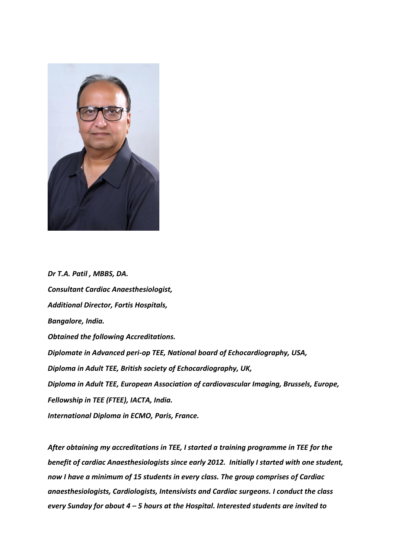

*Dr T.A. Patil , MBBS, DA. Consultant Cardiac Anaesthesiologist, Additional Director, Fortis Hospitals, Bangalore, India. Obtained the following Accreditations. Diplomate in Advanced peri-op TEE, National board of Echocardiography, USA, Diploma in Adult TEE, British society of Echocardiography, UK, Diploma in Adult TEE, European Association of cardiovascular Imaging, Brussels, Europe, Fellowship in TEE (FTEE), IACTA, India. International Diploma in ECMO, Paris, France.*

*After obtaining my accreditations in TEE, I started a training programme in TEE for the benefit of cardiac Anaesthesiologists since early 2012. Initially I started with one student, now I have a minimum of 15 students in every class. The group comprises of Cardiac anaesthesiologists, Cardiologists, Intensivists and Cardiac surgeons. I conduct the class every Sunday for about 4 – 5 hours at the Hospital. Interested students are invited to*